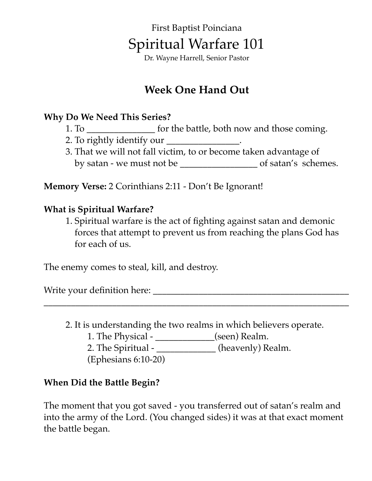# First Baptist Poinciana Spiritual Warfare 101

Dr. Wayne Harrell, Senior Pastor

# **Week One Hand Out**

### **Why Do We Need This Series?**

- 1. To \_\_\_\_\_\_\_\_\_\_\_\_\_\_\_ for the battle, both now and those coming.
- 2. To rightly identify our  $\blacksquare$
- 3. That we will not fall victim, to or become taken advantage of by satan - we must not be \_\_\_\_\_\_\_\_\_\_\_\_\_\_\_\_\_ of satan's schemes.

**Memory Verse:** 2 Corinthians 2:11 - Don't Be Ignorant!

### **What is Spiritual Warfare?**

1. Spiritual warfare is the act of fighting against satan and demonic forces that attempt to prevent us from reaching the plans God has for each of us.

The enemy comes to steal, kill, and destroy.

Write your definition here: \_\_\_\_\_\_\_\_\_\_\_\_\_\_\_\_\_\_\_\_\_\_\_\_\_\_\_\_\_\_\_\_\_\_\_\_\_\_\_\_\_\_\_

2. It is understanding the two realms in which believers operate.

\_\_\_\_\_\_\_\_\_\_\_\_\_\_\_\_\_\_\_\_\_\_\_\_\_\_\_\_\_\_\_\_\_\_\_\_\_\_\_\_\_\_\_\_\_\_\_\_\_\_\_\_\_\_\_\_\_\_\_\_\_\_\_\_\_\_\_

1. The Physical - \_\_\_\_\_\_\_\_\_\_\_\_\_(seen) Realm.

2. The Spiritual - \_\_\_\_\_\_\_\_\_\_\_\_\_\_ (heavenly) Realm.

(Ephesians 6:10-20)

### **When Did the Battle Begin?**

The moment that you got saved - you transferred out of satan's realm and into the army of the Lord. (You changed sides) it was at that exact moment the battle began.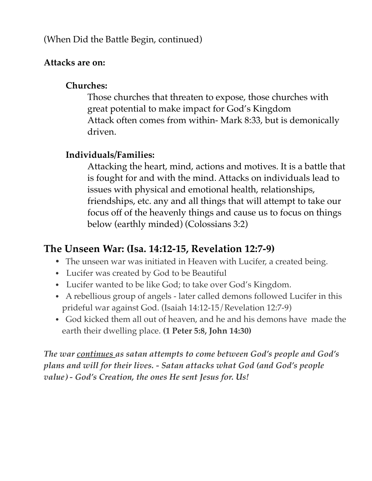### (When Did the Battle Begin, continued)

### **Attacks are on:**

## **Churches:**

Those churches that threaten to expose, those churches with great potential to make impact for God's Kingdom Attack often comes from within- Mark 8:33, but is demonically driven.

## **Individuals/Families:**

Attacking the heart, mind, actions and motives. It is a battle that is fought for and with the mind. Attacks on individuals lead to issues with physical and emotional health, relationships, friendships, etc. any and all things that will attempt to take our focus off of the heavenly things and cause us to focus on things below (earthly minded) (Colossians 3:2)

# **The Unseen War: (Isa. 14:12-15, Revelation 12:7-9)**

- **•** The unseen war was initiated in Heaven with Lucifer, a created being.
- **•** Lucifer was created by God to be Beautiful
- **•** Lucifer wanted to be like God; to take over God's Kingdom.
- **•** A rebellious group of angels later called demons followed Lucifer in this prideful war against God. (Isaiah 14:12-15/Revelation 12:7-9)
- **•** God kicked them all out of heaven, and he and his demons have made the earth their dwelling place. **(1 Peter 5:8, John 14:30)**

*The war continues as satan attempts to come between God's people and God's plans and will for their lives. - Satan attacks what God (and God's people value) - God's Creation, the ones He sent Jesus for. Us!*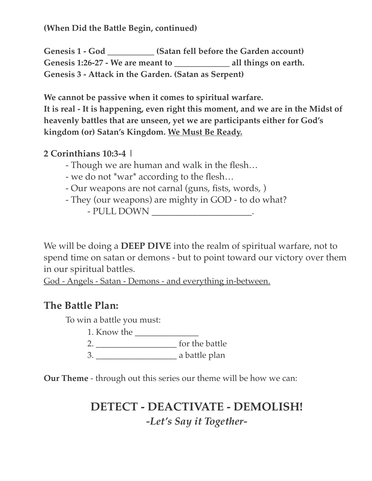**(When Did the Battle Begin, continued)** 

Genesis 1 - God (Satan fell before the Garden account) Genesis 1:26-27 - We are meant to all things on earth. **Genesis 3 - Attack in the Garden. (Satan as Serpent)**

**We cannot be passive when it comes to spiritual warfare. It is real - It is happening, even right this moment, and we are in the Midst of heavenly battles that are unseen, yet we are participants either for God's kingdom (or) Satan's Kingdom. We Must Be Ready.** 

### **2 Corinthians 10:3-4 |**

- Though we are human and walk in the flesh…
- we do not \*war\* according to the flesh…
- Our weapons are not carnal (guns, fists, words, )
- They (our weapons) are mighty in GOD to do what?
	- PULL DOWN \_\_\_\_\_\_\_\_\_\_\_\_\_\_\_\_\_\_\_\_\_.

We will be doing a **DEEP DIVE** into the realm of spiritual warfare, not to spend time on satan or demons - but to point toward our victory over them in our spiritual battles.

God - Angels - Satan - Demons - and everything in-between.

## **The Battle Plan:**

To win a battle you must:

1. Know the \_\_\_\_\_\_\_\_\_\_\_\_\_\_\_

2. \_\_\_\_\_\_\_\_\_\_\_\_\_\_\_\_\_\_\_ for the battle

3. \_\_\_\_\_\_\_\_\_\_\_\_\_\_\_\_\_\_\_ a battle plan

**Our Theme** - through out this series our theme will be how we can:

# **DETECT - DEACTIVATE - DEMOLISH!**  *-Let's Say it Together-*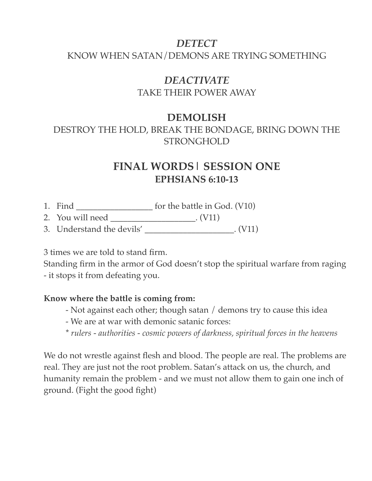## *DETECT*

#### KNOW WHEN SATAN/DEMONS ARE TRYING SOMETHING

# *DEACTIVATE*

TAKE THEIR POWER AWAY

### **DEMOLISH**

DESTROY THE HOLD, BREAK THE BONDAGE, BRING DOWN THE STRONGHOLD

## **FINAL WORDS| SESSION ONE EPHSIANS 6:10-13**

- 1. Find \_\_\_\_\_\_\_\_\_\_\_\_\_\_\_\_\_\_ for the battle in God. (V10)
- 2. You will need \_\_\_\_\_\_\_\_\_\_\_\_\_\_\_\_\_\_\_\_. (V11)
- 3. Understand the devils' \_\_\_\_\_\_\_\_\_\_\_\_\_\_\_\_\_\_\_\_\_. (V11)

3 times we are told to stand firm.

Standing firm in the armor of God doesn't stop the spiritual warfare from raging - it stops it from defeating you.

#### **Know where the battle is coming from:**

- Not against each other; though satan / demons try to cause this idea
- We are at war with demonic satanic forces:
- \* *rulers authorities cosmic powers of darkness, spiritual forces in the heavens*

We do not wrestle against flesh and blood. The people are real. The problems are real. They are just not the root problem. Satan's attack on us, the church, and humanity remain the problem - and we must not allow them to gain one inch of ground. (Fight the good fight)